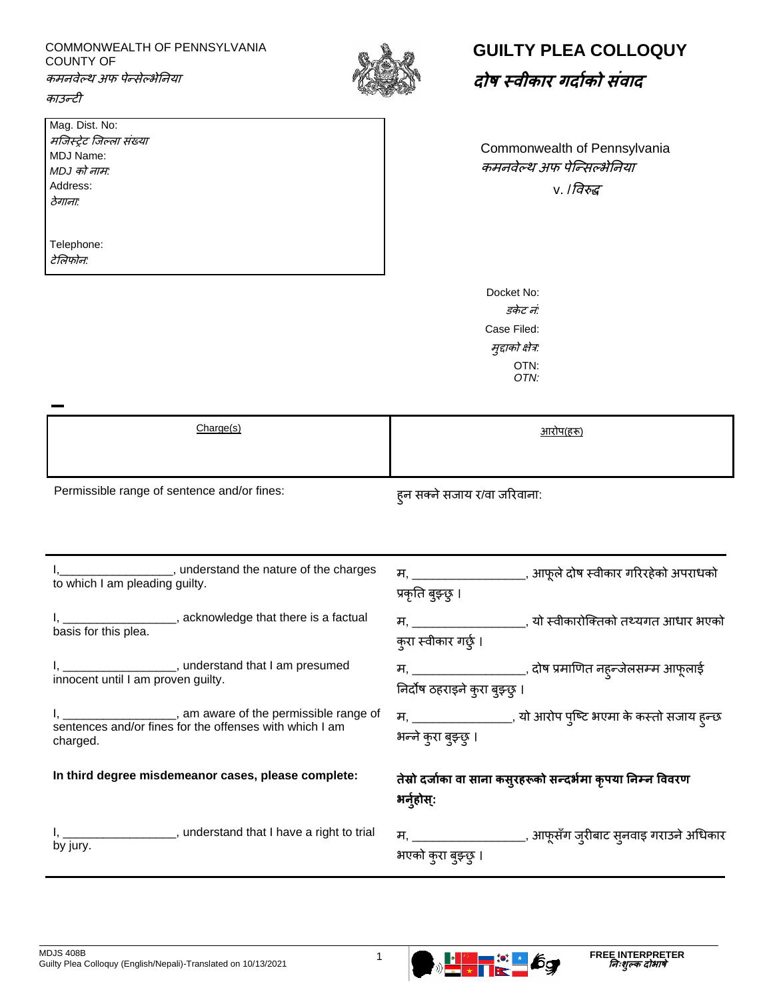## COMMONWEALTH OF PENNSYLVANIA COUNTY OF

कमनवेल्थ अफ पेन्सेल्भेननया



| Mag. Dist. No:           |
|--------------------------|
| मजिस्ट्रेट जिल्ला संख्या |
| <b>MDJ Name:</b>         |
| MDJ को नाम:              |
| Address:                 |
| ठेगाना:                  |
|                          |
|                          |
|                          |

Telephone: टेललफोन*:*



Commonwealth of Pennsylvania कमनवेल्थ अफ पेन्न्सल्भेननया  $v.$ /विरुद्ध

Docket No: *डकेट नं:* Case Filed: मुद्दाको क्षेत्र*:* OTN: *OTN:*

| Charge(s) | $2\pi$ |
|-----------|--------|
|           |        |

Permissible range of sentence and/or fines:<br>  $\frac{1}{5}$  हुन सक्ने सजाय र/वा जरिवाना:

| I, _____________________, understand the nature of the charges                                                                        | म, _____________________, आफूले दोष स्वीकार गरिरहेको अपराधको                           |
|---------------------------------------------------------------------------------------------------------------------------------------|----------------------------------------------------------------------------------------|
| to which I am pleading guilty.                                                                                                        | प्रकृति बुझ्छु ।                                                                       |
| I, _____________________, acknowledge that there is a factual                                                                         | म, ___________________, यो स्वीकारोक्तिको तथ्यगत आधार भएको                             |
| basis for this plea.                                                                                                                  | क्रा स्वीकार गर्छ् ।                                                                   |
| I, _____________________, understand that I am presumed                                                                               | म, ____________________, दोष प्रमाणित नह्न्जेलसम्म आफूलाई                              |
| innocent until I am proven guilty.                                                                                                    | निर्दोष ठहराइने कुरा बुझ्छ्                                                            |
| I, _____________________, am aware of the permissible range of<br>sentences and/or fines for the offenses with which I am<br>charged. | म, ___________________, यो आरोप पुष्टि भएमा के कस्तो सजाय हुन्छ<br>भन्ने कुरा बुझ्छु । |
| In third degree misdemeanor cases, please complete:                                                                                   | तेस्रो दर्जाका वा साना कस्उहरूको सन्दर्भमा कृपया निम्न विवरण<br>भर्नुहोस्:             |
| I, ____________________, understand that I have a right to trial                                                                      | म, ____________________, आफूसँग जुरीबाट स्नवाइ गराउने अधिकार                           |
| by jury.                                                                                                                              | भएको कुरा बुझ्छु ।                                                                     |